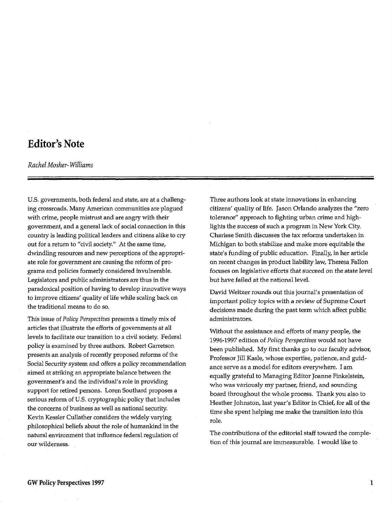## **Editor's Note**

## *Rachel Mosher-Williams*

U.S. governments, both federal and state, are at a challenging crossroads. Many American communities are plagued with crime, people mistrust and are angry with their government, and a general lack of social connection in this country is leading political leaders and citizens alike to cry out for a return to "civil society." At the same time, dwindling resources and new perceptions of the appropriate role for government are causing the reform of programs and policies formerly considered invulnerable. Legislators and public administrators are thus in the paradoxical position of having to develop innovative ways to improve citizens' quality of life while scaling back on the traditional means to do so.

This issue of *Policy Perspectives* presents a timely mix of articles that illustrate the efforts of governments at all levels to facilitate our transition to a civil society. Federal policy is examined by three authors. Robert Garretson presents an analysis of recently proposed reforms of the Social Security system and offers a policy recommendation aimed at striking an appropriate balance between the government's and the individual's role in providing support for retired persons. Loren Southard proposes a serious reform of U.S. cryptographic policy that includes the concerns of business as well as national security. Kevin Kessler Cullather considers the widely varying philosophical beliefs about the role of humankind in the natural environment that influence federal regulation of our wilderness.

Three authors look at state innovations in enhancing citizens' quality of life. Jason Orlando analyzes the "zero tolerance" approach to fighting urban crime and highlights the success of such a program in New York City. Charisse Smith discusses the tax reforms undertaken in Michigan to both stabilize and make more equitable the state's funding of public education. Finally, in her article on recent changes **in** product liability law, Theresa Fallon focuses on legislative efforts that succeed on the state level but have failed at the national level.

David Weitzer rounds out this journal's presentation of important policy topics with a review of Supreme Court decisions made during the past term which affect public administrators.

Without the assistance and efforts of many people, the 1996-1997 edition of *Policy Perspectives* would not have been published. My first thanks go to our faculty advisor, Professor Jill Kasle, whose expertise, patience, and guidance serve as a model for editors everywhere. I am equally grateful to Managing Editor Joanne Finkelstein, who was variously my partner, friend, and sounding board throughout the whole process. Thank you also to Heather Johnston, last year's Editor in Chief, for all of the time she spent helping me make the transition into this role.

The contributions of the editorial staff toward the completion of this journal are immeasurable. I would like to